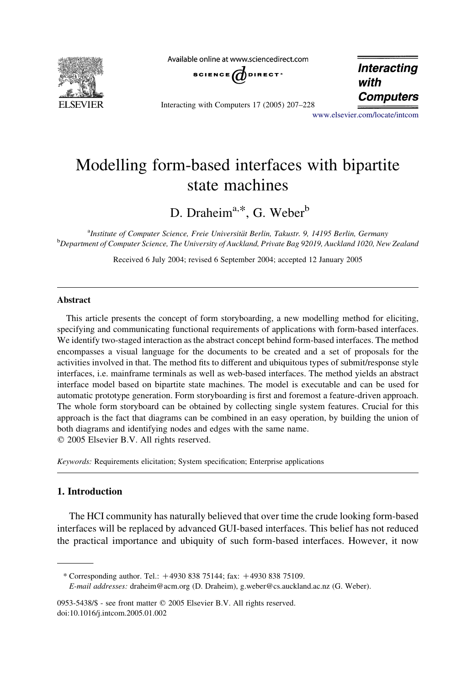

Available online at www.sciencedirect.com



Interacting with Computers 17 (2005) 207–228

**Interacting** with **Computers** 

[www.elsevier.com/locate/intcom](http://www.elsevier.com/locate/intcom)

# Modelling form-based interfaces with bipartite state machines

D. Draheim<sup>a,\*</sup>, G. Weber<sup>b</sup>

a<br>Institute of Computer Science, Freie Universität Berlin, Takustr. 9, 14195 Berlin, Germany <sup>b</sup>Department of Computer Science, The University of Auckland, Private Bag 92019, Auckland 1020, New Zealand

Received 6 July 2004; revised 6 September 2004; accepted 12 January 2005

# Abstract

This article presents the concept of form storyboarding, a new modelling method for eliciting, specifying and communicating functional requirements of applications with form-based interfaces. We identify two-staged interaction as the abstract concept behind form-based interfaces. The method encompasses a visual language for the documents to be created and a set of proposals for the activities involved in that. The method fits to different and ubiquitous types of submit/response style interfaces, i.e. mainframe terminals as well as web-based interfaces. The method yields an abstract interface model based on bipartite state machines. The model is executable and can be used for automatic prototype generation. Form storyboarding is first and foremost a feature-driven approach. The whole form storyboard can be obtained by collecting single system features. Crucial for this approach is the fact that diagrams can be combined in an easy operation, by building the union of both diagrams and identifying nodes and edges with the same name.  $© 2005 Elsevier B.V. All rights reserved.$ 

Keywords: Requirements elicitation; System specification; Enterprise applications

# 1. Introduction

The HCI community has naturally believed that over time the crude looking form-based interfaces will be replaced by advanced GUI-based interfaces. This belief has not reduced the practical importance and ubiquity of such form-based interfaces. However, it now

\* Corresponding author. Tel.:  $+4930 838 75144$ ; fax:  $+4930 838 75109$ .

E-mail addresses: draheim@acm.org (D. Draheim), g.weber@cs.auckland.ac.nz (G. Weber).

0953-5438/\$ - see front matter © 2005 Elsevier B.V. All rights reserved. doi:10.1016/j.intcom.2005.01.002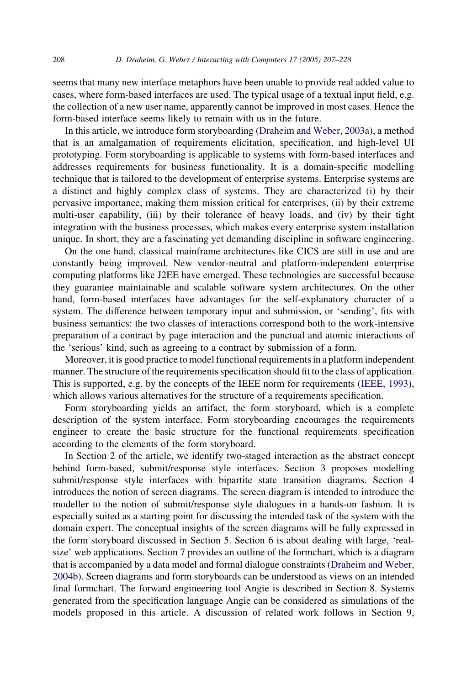seems that many new interface metaphors have been unable to provide real added value to cases, where form-based interfaces are used. The typical usage of a textual input field, e.g. the collection of a new user name, apparently cannot be improved in most cases. Hence the form-based interface seems likely to remain with us in the future.

In this article, we introduce form storyboarding [\(Draheim and Weber, 2003a\)](#page-20-0), a method that is an amalgamation of requirements elicitation, specification, and high-level UI prototyping. Form storyboarding is applicable to systems with form-based interfaces and addresses requirements for business functionality. It is a domain-specific modelling technique that is tailored to the development of enterprise systems. Enterprise systems are a distinct and highly complex class of systems. They are characterized (i) by their pervasive importance, making them mission critical for enterprises, (ii) by their extreme multi-user capability, (iii) by their tolerance of heavy loads, and (iv) by their tight integration with the business processes, which makes every enterprise system installation unique. In short, they are a fascinating yet demanding discipline in software engineering.

On the one hand, classical mainframe architectures like CICS are still in use and are constantly being improved. New vendor-neutral and platform-independent enterprise computing platforms like J2EE have emerged. These technologies are successful because they guarantee maintainable and scalable software system architectures. On the other hand, form-based interfaces have advantages for the self-explanatory character of a system. The difference between temporary input and submission, or 'sending', fits with business semantics: the two classes of interactions correspond both to the work-intensive preparation of a contract by page interaction and the punctual and atomic interactions of the 'serious' kind, such as agreeing to a contract by submission of a form.

Moreover, it is good practice to model functional requirements in a platform independent manner. The structure of the requirements specification should fit to the class of application. This is supported, e.g. by the concepts of the IEEE norm for requirements [\(IEEE, 1993](#page-20-0)), which allows various alternatives for the structure of a requirements specification.

Form storyboarding yields an artifact, the form storyboard, which is a complete description of the system interface. Form storyboarding encourages the requirements engineer to create the basic structure for the functional requirements specification according to the elements of the form storyboard.

In Section 2 of the article, we identify two-staged interaction as the abstract concept behind form-based, submit/response style interfaces. Section 3 proposes modelling submit/response style interfaces with bipartite state transition diagrams. Section 4 introduces the notion of screen diagrams. The screen diagram is intended to introduce the modeller to the notion of submit/response style dialogues in a hands-on fashion. It is especially suited as a starting point for discussing the intended task of the system with the domain expert. The conceptual insights of the screen diagrams will be fully expressed in the form storyboard discussed in Section 5. Section 6 is about dealing with large, 'realsize' web applications. Section 7 provides an outline of the formchart, which is a diagram that is accompanied by a data model and formal dialogue constraints [\(Draheim and Weber,](#page-20-0) [2004b](#page-20-0)). Screen diagrams and form storyboards can be understood as views on an intended final formchart. The forward engineering tool Angie is described in Section 8. Systems generated from the specification language Angie can be considered as simulations of the models proposed in this article. A discussion of related work follows in Section 9,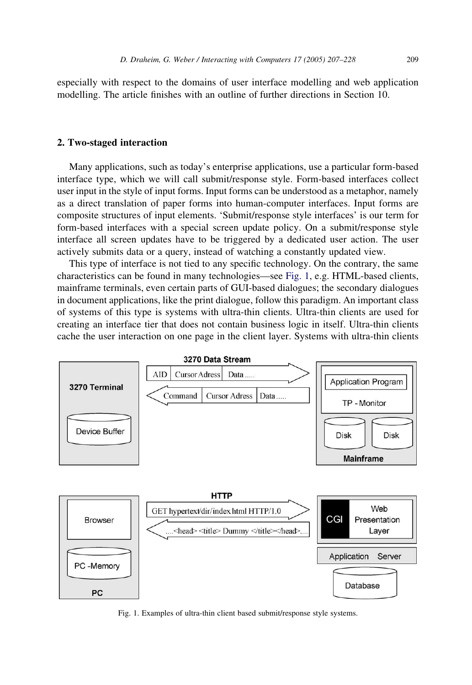especially with respect to the domains of user interface modelling and web application modelling. The article finishes with an outline of further directions in Section 10.

#### 2. Two-staged interaction

Many applications, such as today's enterprise applications, use a particular form-based interface type, which we will call submit/response style. Form-based interfaces collect user input in the style of input forms. Input forms can be understood as a metaphor, namely as a direct translation of paper forms into human-computer interfaces. Input forms are composite structures of input elements. 'Submit/response style interfaces' is our term for form-based interfaces with a special screen update policy. On a submit/response style interface all screen updates have to be triggered by a dedicated user action. The user actively submits data or a query, instead of watching a constantly updated view.

This type of interface is not tied to any specific technology. On the contrary, the same characteristics can be found in many technologies—see Fig. 1, e.g. HTML-based clients, mainframe terminals, even certain parts of GUI-based dialogues; the secondary dialogues in document applications, like the print dialogue, follow this paradigm. An important class of systems of this type is systems with ultra-thin clients. Ultra-thin clients are used for creating an interface tier that does not contain business logic in itself. Ultra-thin clients cache the user interaction on one page in the client layer. Systems with ultra-thin clients



Fig. 1. Examples of ultra-thin client based submit/response style systems.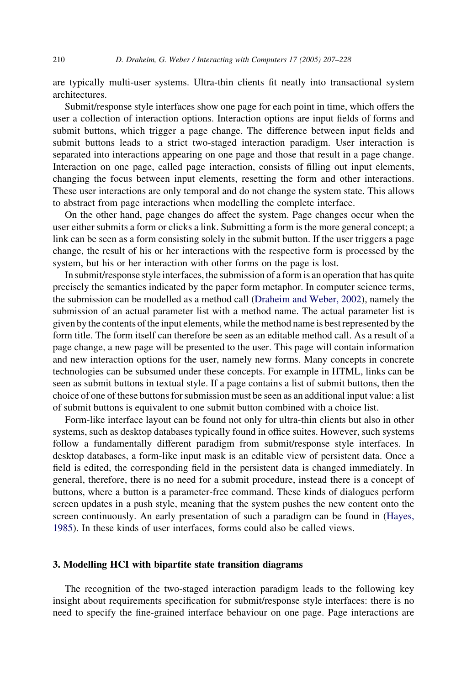are typically multi-user systems. Ultra-thin clients fit neatly into transactional system architectures.

Submit/response style interfaces show one page for each point in time, which offers the user a collection of interaction options. Interaction options are input fields of forms and submit buttons, which trigger a page change. The difference between input fields and submit buttons leads to a strict two-staged interaction paradigm. User interaction is separated into interactions appearing on one page and those that result in a page change. Interaction on one page, called page interaction, consists of filling out input elements, changing the focus between input elements, resetting the form and other interactions. These user interactions are only temporal and do not change the system state. This allows to abstract from page interactions when modelling the complete interface.

On the other hand, page changes do affect the system. Page changes occur when the user either submits a form or clicks a link. Submitting a form is the more general concept; a link can be seen as a form consisting solely in the submit button. If the user triggers a page change, the result of his or her interactions with the respective form is processed by the system, but his or her interaction with other forms on the page is lost.

In submit/response style interfaces, the submission of a form is an operation that has quite precisely the semantics indicated by the paper form metaphor. In computer science terms, the submission can be modelled as a method call ([Draheim and Weber, 2002\)](#page-20-0), namely the submission of an actual parameter list with a method name. The actual parameter list is given by the contents of the input elements, while the method name is best represented by the form title. The form itself can therefore be seen as an editable method call. As a result of a page change, a new page will be presented to the user. This page will contain information and new interaction options for the user, namely new forms. Many concepts in concrete technologies can be subsumed under these concepts. For example in HTML, links can be seen as submit buttons in textual style. If a page contains a list of submit buttons, then the choice of one of these buttons for submission must be seen as an additional input value: a list of submit buttons is equivalent to one submit button combined with a choice list.

Form-like interface layout can be found not only for ultra-thin clients but also in other systems, such as desktop databases typically found in office suites. However, such systems follow a fundamentally different paradigm from submit/response style interfaces. In desktop databases, a form-like input mask is an editable view of persistent data. Once a field is edited, the corresponding field in the persistent data is changed immediately. In general, therefore, there is no need for a submit procedure, instead there is a concept of buttons, where a button is a parameter-free command. These kinds of dialogues perform screen updates in a push style, meaning that the system pushes the new content onto the screen continuously. An early presentation of such a paradigm can be found in ([Hayes,](#page-20-0) [1985](#page-20-0)). In these kinds of user interfaces, forms could also be called views.

# 3. Modelling HCI with bipartite state transition diagrams

The recognition of the two-staged interaction paradigm leads to the following key insight about requirements specification for submit/response style interfaces: there is no need to specify the fine-grained interface behaviour on one page. Page interactions are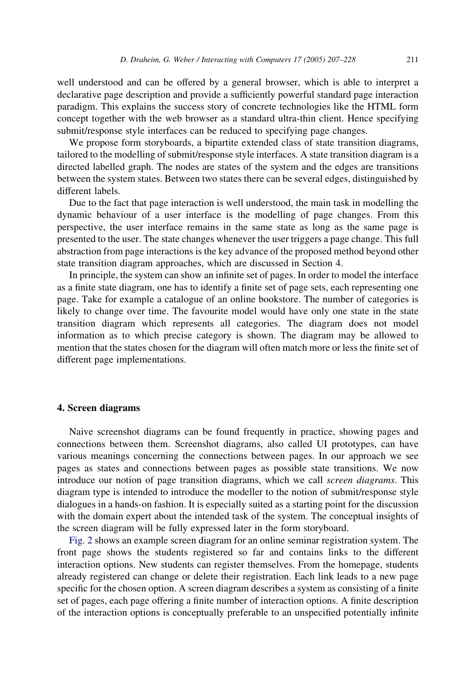well understood and can be offered by a general browser, which is able to interpret a declarative page description and provide a sufficiently powerful standard page interaction paradigm. This explains the success story of concrete technologies like the HTML form concept together with the web browser as a standard ultra-thin client. Hence specifying submit/response style interfaces can be reduced to specifying page changes.

We propose form storyboards, a bipartite extended class of state transition diagrams, tailored to the modelling of submit/response style interfaces. A state transition diagram is a directed labelled graph. The nodes are states of the system and the edges are transitions between the system states. Between two states there can be several edges, distinguished by different labels.

Due to the fact that page interaction is well understood, the main task in modelling the dynamic behaviour of a user interface is the modelling of page changes. From this perspective, the user interface remains in the same state as long as the same page is presented to the user. The state changes whenever the user triggers a page change. This full abstraction from page interactions is the key advance of the proposed method beyond other state transition diagram approaches, which are discussed in Section 4.

In principle, the system can show an infinite set of pages. In order to model the interface as a finite state diagram, one has to identify a finite set of page sets, each representing one page. Take for example a catalogue of an online bookstore. The number of categories is likely to change over time. The favourite model would have only one state in the state transition diagram which represents all categories. The diagram does not model information as to which precise category is shown. The diagram may be allowed to mention that the states chosen for the diagram will often match more or less the finite set of different page implementations.

#### 4. Screen diagrams

Naive screenshot diagrams can be found frequently in practice, showing pages and connections between them. Screenshot diagrams, also called UI prototypes, can have various meanings concerning the connections between pages. In our approach we see pages as states and connections between pages as possible state transitions. We now introduce our notion of page transition diagrams, which we call *screen diagrams*. This diagram type is intended to introduce the modeller to the notion of submit/response style dialogues in a hands-on fashion. It is especially suited as a starting point for the discussion with the domain expert about the intended task of the system. The conceptual insights of the screen diagram will be fully expressed later in the form storyboard.

[Fig. 2](#page-5-0) shows an example screen diagram for an online seminar registration system. The front page shows the students registered so far and contains links to the different interaction options. New students can register themselves. From the homepage, students already registered can change or delete their registration. Each link leads to a new page specific for the chosen option. A screen diagram describes a system as consisting of a finite set of pages, each page offering a finite number of interaction options. A finite description of the interaction options is conceptually preferable to an unspecified potentially infinite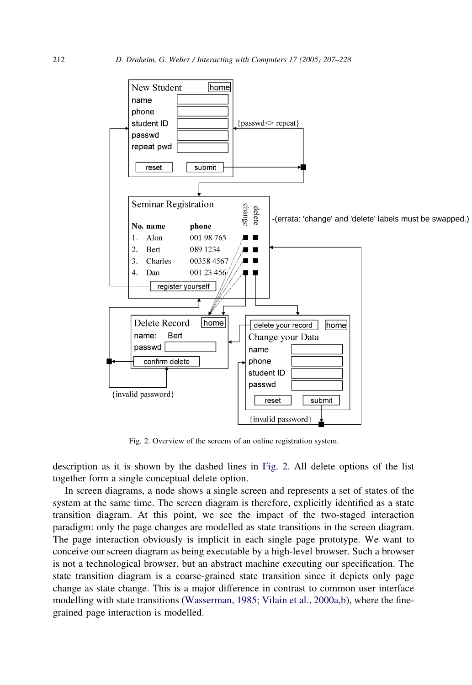<span id="page-5-0"></span>

Fig. 2. Overview of the screens of an online registration system.

description as it is shown by the dashed lines in Fig. 2. All delete options of the list together form a single conceptual delete option.

In screen diagrams, a node shows a single screen and represents a set of states of the system at the same time. The screen diagram is therefore, explicitly identified as a state transition diagram. At this point, we see the impact of the two-staged interaction paradigm: only the page changes are modelled as state transitions in the screen diagram. The page interaction obviously is implicit in each single page prototype. We want to conceive our screen diagram as being executable by a high-level browser. Such a browser is not a technological browser, but an abstract machine executing our specification. The state transition diagram is a coarse-grained state transition since it depicts only page change as state change. This is a major difference in contrast to common user interface modelling with state transitions [\(Wasserman, 1985; Vilain et al., 2000a,b](#page-21-0)), where the finegrained page interaction is modelled.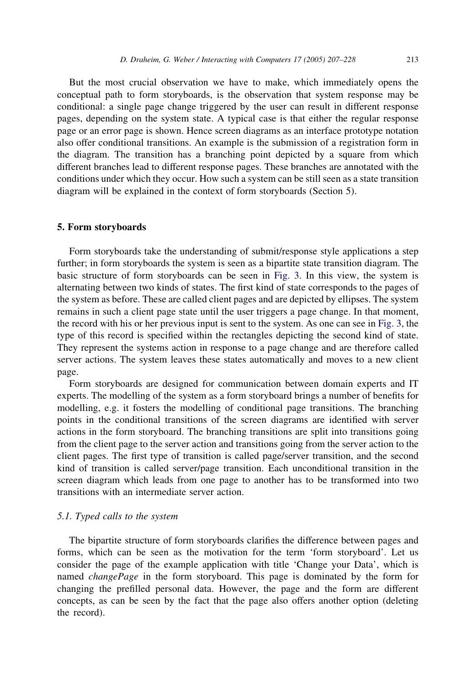But the most crucial observation we have to make, which immediately opens the conceptual path to form storyboards, is the observation that system response may be conditional: a single page change triggered by the user can result in different response pages, depending on the system state. A typical case is that either the regular response page or an error page is shown. Hence screen diagrams as an interface prototype notation also offer conditional transitions. An example is the submission of a registration form in the diagram. The transition has a branching point depicted by a square from which different branches lead to different response pages. These branches are annotated with the conditions under which they occur. How such a system can be still seen as a state transition diagram will be explained in the context of form storyboards (Section 5).

#### 5. Form storyboards

Form storyboards take the understanding of submit/response style applications a step further; in form storyboards the system is seen as a bipartite state transition diagram. The basic structure of form storyboards can be seen in [Fig. 3.](#page-7-0) In this view, the system is alternating between two kinds of states. The first kind of state corresponds to the pages of the system as before. These are called client pages and are depicted by ellipses. The system remains in such a client page state until the user triggers a page change. In that moment, the record with his or her previous input is sent to the system. As one can see in [Fig. 3](#page-7-0), the type of this record is specified within the rectangles depicting the second kind of state. They represent the systems action in response to a page change and are therefore called server actions. The system leaves these states automatically and moves to a new client page.

Form storyboards are designed for communication between domain experts and IT experts. The modelling of the system as a form storyboard brings a number of benefits for modelling, e.g. it fosters the modelling of conditional page transitions. The branching points in the conditional transitions of the screen diagrams are identified with server actions in the form storyboard. The branching transitions are split into transitions going from the client page to the server action and transitions going from the server action to the client pages. The first type of transition is called page/server transition, and the second kind of transition is called server/page transition. Each unconditional transition in the screen diagram which leads from one page to another has to be transformed into two transitions with an intermediate server action.

### 5.1. Typed calls to the system

The bipartite structure of form storyboards clarifies the difference between pages and forms, which can be seen as the motivation for the term 'form storyboard'. Let us consider the page of the example application with title 'Change your Data', which is named *changePage* in the form storyboard. This page is dominated by the form for changing the prefilled personal data. However, the page and the form are different concepts, as can be seen by the fact that the page also offers another option (deleting the record).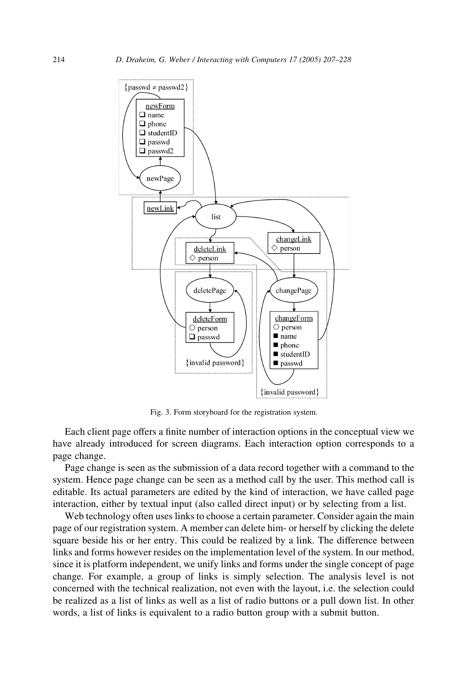<span id="page-7-0"></span>

Fig. 3. Form storyboard for the registration system.

Each client page offers a finite number of interaction options in the conceptual view we have already introduced for screen diagrams. Each interaction option corresponds to a page change.

Page change is seen as the submission of a data record together with a command to the system. Hence page change can be seen as a method call by the user. This method call is editable. Its actual parameters are edited by the kind of interaction, we have called page interaction, either by textual input (also called direct input) or by selecting from a list.

Web technology often uses links to choose a certain parameter. Consider again the main page of our registration system. A member can delete him- or herself by clicking the delete square beside his or her entry. This could be realized by a link. The difference between links and forms however resides on the implementation level of the system. In our method, since it is platform independent, we unify links and forms under the single concept of page change. For example, a group of links is simply selection. The analysis level is not concerned with the technical realization, not even with the layout, i.e. the selection could be realized as a list of links as well as a list of radio buttons or a pull down list. In other words, a list of links is equivalent to a radio button group with a submit button.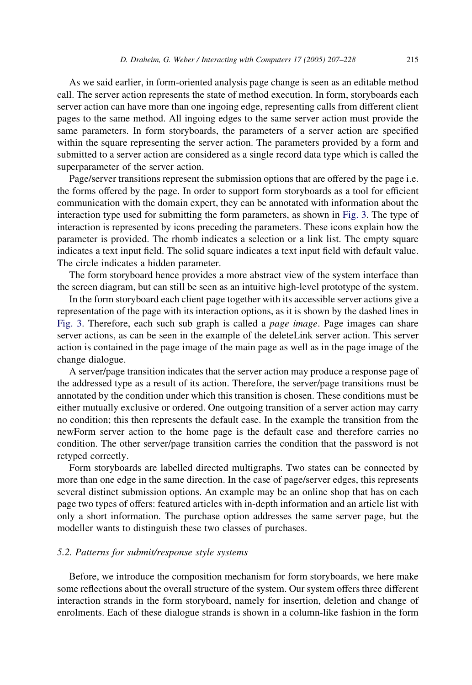As we said earlier, in form-oriented analysis page change is seen as an editable method call. The server action represents the state of method execution. In form, storyboards each server action can have more than one ingoing edge, representing calls from different client pages to the same method. All ingoing edges to the same server action must provide the same parameters. In form storyboards, the parameters of a server action are specified within the square representing the server action. The parameters provided by a form and submitted to a server action are considered as a single record data type which is called the superparameter of the server action.

Page/server transitions represent the submission options that are offered by the page i.e. the forms offered by the page. In order to support form storyboards as a tool for efficient communication with the domain expert, they can be annotated with information about the interaction type used for submitting the form parameters, as shown in [Fig. 3.](#page-7-0) The type of interaction is represented by icons preceding the parameters. These icons explain how the parameter is provided. The rhomb indicates a selection or a link list. The empty square indicates a text input field. The solid square indicates a text input field with default value. The circle indicates a hidden parameter.

The form storyboard hence provides a more abstract view of the system interface than the screen diagram, but can still be seen as an intuitive high-level prototype of the system.

In the form storyboard each client page together with its accessible server actions give a representation of the page with its interaction options, as it is shown by the dashed lines in [Fig. 3](#page-7-0). Therefore, each such sub graph is called a *page image*. Page images can share server actions, as can be seen in the example of the deleteLink server action. This server action is contained in the page image of the main page as well as in the page image of the change dialogue.

A server/page transition indicates that the server action may produce a response page of the addressed type as a result of its action. Therefore, the server/page transitions must be annotated by the condition under which this transition is chosen. These conditions must be either mutually exclusive or ordered. One outgoing transition of a server action may carry no condition; this then represents the default case. In the example the transition from the newForm server action to the home page is the default case and therefore carries no condition. The other server/page transition carries the condition that the password is not retyped correctly.

Form storyboards are labelled directed multigraphs. Two states can be connected by more than one edge in the same direction. In the case of page/server edges, this represents several distinct submission options. An example may be an online shop that has on each page two types of offers: featured articles with in-depth information and an article list with only a short information. The purchase option addresses the same server page, but the modeller wants to distinguish these two classes of purchases.

# 5.2. Patterns for submit/response style systems

Before, we introduce the composition mechanism for form storyboards, we here make some reflections about the overall structure of the system. Our system offers three different interaction strands in the form storyboard, namely for insertion, deletion and change of enrolments. Each of these dialogue strands is shown in a column-like fashion in the form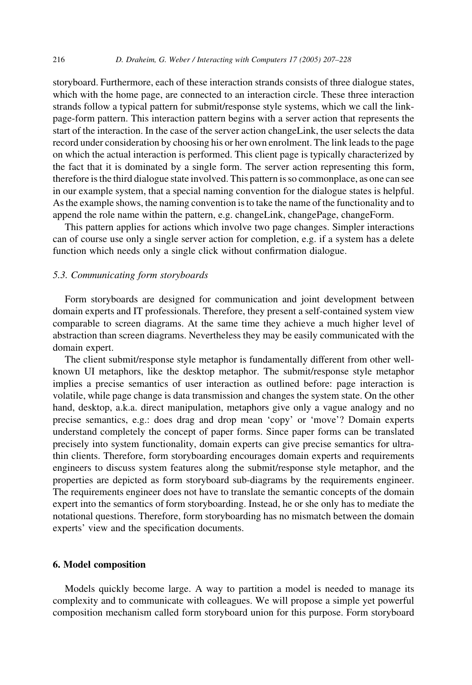storyboard. Furthermore, each of these interaction strands consists of three dialogue states, which with the home page, are connected to an interaction circle. These three interaction strands follow a typical pattern for submit/response style systems, which we call the linkpage-form pattern. This interaction pattern begins with a server action that represents the start of the interaction. In the case of the server action changeLink, the user selects the data record under consideration by choosing his or her own enrolment. The link leads to the page on which the actual interaction is performed. This client page is typically characterized by the fact that it is dominated by a single form. The server action representing this form, therefore is the third dialogue state involved. This pattern is so commonplace, as one can see in our example system, that a special naming convention for the dialogue states is helpful. As the example shows, the naming convention is to take the name of the functionality and to append the role name within the pattern, e.g. changeLink, changePage, changeForm.

This pattern applies for actions which involve two page changes. Simpler interactions can of course use only a single server action for completion, e.g. if a system has a delete function which needs only a single click without confirmation dialogue.

#### 5.3. Communicating form storyboards

Form storyboards are designed for communication and joint development between domain experts and IT professionals. Therefore, they present a self-contained system view comparable to screen diagrams. At the same time they achieve a much higher level of abstraction than screen diagrams. Nevertheless they may be easily communicated with the domain expert.

The client submit/response style metaphor is fundamentally different from other wellknown UI metaphors, like the desktop metaphor. The submit/response style metaphor implies a precise semantics of user interaction as outlined before: page interaction is volatile, while page change is data transmission and changes the system state. On the other hand, desktop, a.k.a. direct manipulation, metaphors give only a vague analogy and no precise semantics, e.g.: does drag and drop mean 'copy' or 'move'? Domain experts understand completely the concept of paper forms. Since paper forms can be translated precisely into system functionality, domain experts can give precise semantics for ultrathin clients. Therefore, form storyboarding encourages domain experts and requirements engineers to discuss system features along the submit/response style metaphor, and the properties are depicted as form storyboard sub-diagrams by the requirements engineer. The requirements engineer does not have to translate the semantic concepts of the domain expert into the semantics of form storyboarding. Instead, he or she only has to mediate the notational questions. Therefore, form storyboarding has no mismatch between the domain experts' view and the specification documents.

# 6. Model composition

Models quickly become large. A way to partition a model is needed to manage its complexity and to communicate with colleagues. We will propose a simple yet powerful composition mechanism called form storyboard union for this purpose. Form storyboard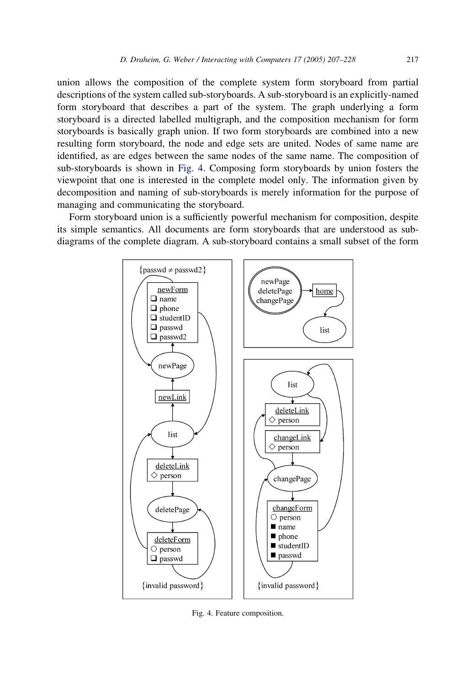<span id="page-10-0"></span>union allows the composition of the complete system form storyboard from partial descriptions of the system called sub-storyboards. A sub-storyboard is an explicitly-named form storyboard that describes a part of the system. The graph underlying a form storyboard is a directed labelled multigraph, and the composition mechanism for form storyboards is basically graph union. If two form storyboards are combined into a new resulting form storyboard, the node and edge sets are united. Nodes of same name are identified, as are edges between the same nodes of the same name. The composition of sub-storyboards is shown in Fig. 4. Composing form storyboards by union fosters the viewpoint that one is interested in the complete model only. The information given by decomposition and naming of sub-storyboards is merely information for the purpose of managing and communicating the storyboard.

Form storyboard union is a sufficiently powerful mechanism for composition, despite its simple semantics. All documents are form storyboards that are understood as subdiagrams of the complete diagram. A sub-storyboard contains a small subset of the form



Fig. 4. Feature composition.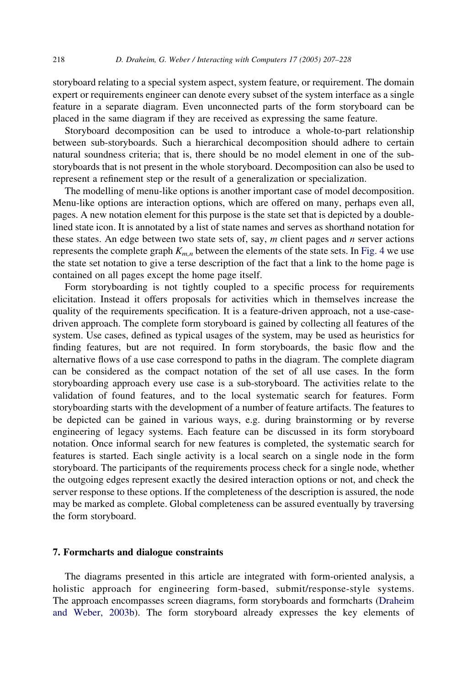storyboard relating to a special system aspect, system feature, or requirement. The domain expert or requirements engineer can denote every subset of the system interface as a single feature in a separate diagram. Even unconnected parts of the form storyboard can be placed in the same diagram if they are received as expressing the same feature.

Storyboard decomposition can be used to introduce a whole-to-part relationship between sub-storyboards. Such a hierarchical decomposition should adhere to certain natural soundness criteria; that is, there should be no model element in one of the substoryboards that is not present in the whole storyboard. Decomposition can also be used to represent a refinement step or the result of a generalization or specialization.

The modelling of menu-like options is another important case of model decomposition. Menu-like options are interaction options, which are offered on many, perhaps even all, pages. A new notation element for this purpose is the state set that is depicted by a doublelined state icon. It is annotated by a list of state names and serves as shorthand notation for these states. An edge between two state sets of, say,  $m$  client pages and  $n$  server actions represents the complete graph  $K_{m,n}$  between the elements of the state sets. In [Fig. 4](#page-10-0) we use the state set notation to give a terse description of the fact that a link to the home page is contained on all pages except the home page itself.

Form storyboarding is not tightly coupled to a specific process for requirements elicitation. Instead it offers proposals for activities which in themselves increase the quality of the requirements specification. It is a feature-driven approach, not a use-casedriven approach. The complete form storyboard is gained by collecting all features of the system. Use cases, defined as typical usages of the system, may be used as heuristics for finding features, but are not required. In form storyboards, the basic flow and the alternative flows of a use case correspond to paths in the diagram. The complete diagram can be considered as the compact notation of the set of all use cases. In the form storyboarding approach every use case is a sub-storyboard. The activities relate to the validation of found features, and to the local systematic search for features. Form storyboarding starts with the development of a number of feature artifacts. The features to be depicted can be gained in various ways, e.g. during brainstorming or by reverse engineering of legacy systems. Each feature can be discussed in its form storyboard notation. Once informal search for new features is completed, the systematic search for features is started. Each single activity is a local search on a single node in the form storyboard. The participants of the requirements process check for a single node, whether the outgoing edges represent exactly the desired interaction options or not, and check the server response to these options. If the completeness of the description is assured, the node may be marked as complete. Global completeness can be assured eventually by traversing the form storyboard.

#### 7. Formcharts and dialogue constraints

The diagrams presented in this article are integrated with form-oriented analysis, a holistic approach for engineering form-based, submit/response-style systems. The approach encompasses screen diagrams, form storyboards and formcharts ([Draheim](#page-20-0) [and Weber, 2003b](#page-20-0)). The form storyboard already expresses the key elements of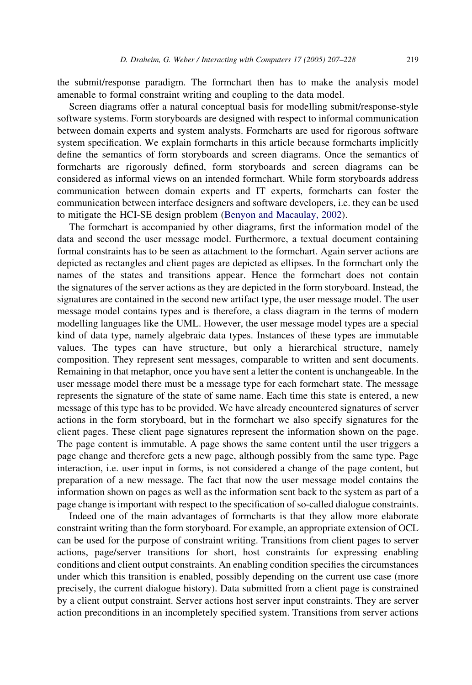the submit/response paradigm. The formchart then has to make the analysis model amenable to formal constraint writing and coupling to the data model.

Screen diagrams offer a natural conceptual basis for modelling submit/response-style software systems. Form storyboards are designed with respect to informal communication between domain experts and system analysts. Formcharts are used for rigorous software system specification. We explain formcharts in this article because formcharts implicitly define the semantics of form storyboards and screen diagrams. Once the semantics of formcharts are rigorously defined, form storyboards and screen diagrams can be considered as informal views on an intended formchart. While form storyboards address communication between domain experts and IT experts, formcharts can foster the communication between interface designers and software developers, i.e. they can be used to mitigate the HCI-SE design problem ([Benyon and Macaulay, 2002](#page-19-0)).

The formchart is accompanied by other diagrams, first the information model of the data and second the user message model. Furthermore, a textual document containing formal constraints has to be seen as attachment to the formchart. Again server actions are depicted as rectangles and client pages are depicted as ellipses. In the formchart only the names of the states and transitions appear. Hence the formchart does not contain the signatures of the server actions as they are depicted in the form storyboard. Instead, the signatures are contained in the second new artifact type, the user message model. The user message model contains types and is therefore, a class diagram in the terms of modern modelling languages like the UML. However, the user message model types are a special kind of data type, namely algebraic data types. Instances of these types are immutable values. The types can have structure, but only a hierarchical structure, namely composition. They represent sent messages, comparable to written and sent documents. Remaining in that metaphor, once you have sent a letter the content is unchangeable. In the user message model there must be a message type for each formchart state. The message represents the signature of the state of same name. Each time this state is entered, a new message of this type has to be provided. We have already encountered signatures of server actions in the form storyboard, but in the formchart we also specify signatures for the client pages. These client page signatures represent the information shown on the page. The page content is immutable. A page shows the same content until the user triggers a page change and therefore gets a new page, although possibly from the same type. Page interaction, i.e. user input in forms, is not considered a change of the page content, but preparation of a new message. The fact that now the user message model contains the information shown on pages as well as the information sent back to the system as part of a page change is important with respect to the specification of so-called dialogue constraints.

Indeed one of the main advantages of formcharts is that they allow more elaborate constraint writing than the form storyboard. For example, an appropriate extension of OCL can be used for the purpose of constraint writing. Transitions from client pages to server actions, page/server transitions for short, host constraints for expressing enabling conditions and client output constraints. An enabling condition specifies the circumstances under which this transition is enabled, possibly depending on the current use case (more precisely, the current dialogue history). Data submitted from a client page is constrained by a client output constraint. Server actions host server input constraints. They are server action preconditions in an incompletely specified system. Transitions from server actions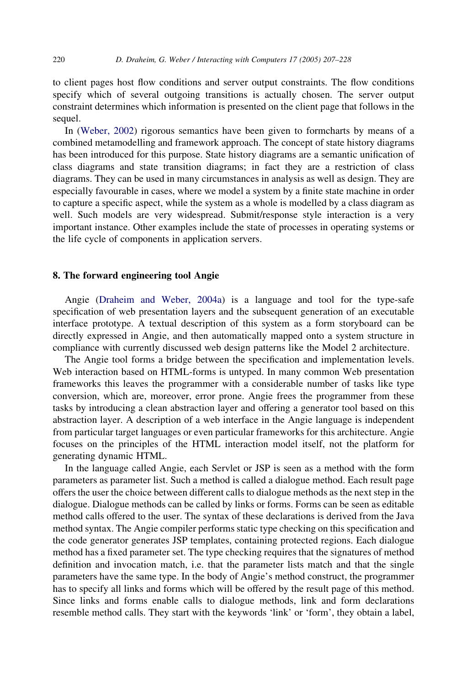to client pages host flow conditions and server output constraints. The flow conditions specify which of several outgoing transitions is actually chosen. The server output constraint determines which information is presented on the client page that follows in the sequel.

In ([Weber, 2002\)](#page-21-0) rigorous semantics have been given to formcharts by means of a combined metamodelling and framework approach. The concept of state history diagrams has been introduced for this purpose. State history diagrams are a semantic unification of class diagrams and state transition diagrams; in fact they are a restriction of class diagrams. They can be used in many circumstances in analysis as well as design. They are especially favourable in cases, where we model a system by a finite state machine in order to capture a specific aspect, while the system as a whole is modelled by a class diagram as well. Such models are very widespread. Submit/response style interaction is a very important instance. Other examples include the state of processes in operating systems or the life cycle of components in application servers.

#### 8. The forward engineering tool Angie

Angie [\(Draheim and Weber, 2004a](#page-20-0)) is a language and tool for the type-safe specification of web presentation layers and the subsequent generation of an executable interface prototype. A textual description of this system as a form storyboard can be directly expressed in Angie, and then automatically mapped onto a system structure in compliance with currently discussed web design patterns like the Model 2 architecture.

The Angie tool forms a bridge between the specification and implementation levels. Web interaction based on HTML-forms is untyped. In many common Web presentation frameworks this leaves the programmer with a considerable number of tasks like type conversion, which are, moreover, error prone. Angie frees the programmer from these tasks by introducing a clean abstraction layer and offering a generator tool based on this abstraction layer. A description of a web interface in the Angie language is independent from particular target languages or even particular frameworks for this architecture. Angie focuses on the principles of the HTML interaction model itself, not the platform for generating dynamic HTML.

In the language called Angie, each Servlet or JSP is seen as a method with the form parameters as parameter list. Such a method is called a dialogue method. Each result page offers the user the choice between different calls to dialogue methods as the next step in the dialogue. Dialogue methods can be called by links or forms. Forms can be seen as editable method calls offered to the user. The syntax of these declarations is derived from the Java method syntax. The Angie compiler performs static type checking on this specification and the code generator generates JSP templates, containing protected regions. Each dialogue method has a fixed parameter set. The type checking requires that the signatures of method definition and invocation match, i.e. that the parameter lists match and that the single parameters have the same type. In the body of Angie's method construct, the programmer has to specify all links and forms which will be offered by the result page of this method. Since links and forms enable calls to dialogue methods, link and form declarations resemble method calls. They start with the keywords 'link' or 'form', they obtain a label,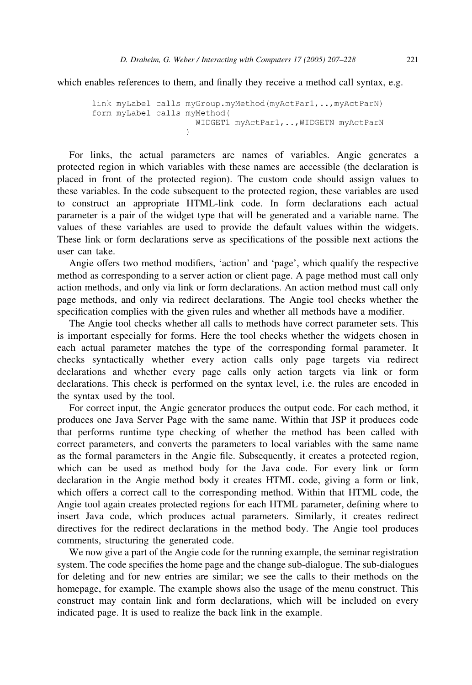which enables references to them, and finally they receive a method call syntax, e.g.

```
link myLabel calls myGroup.myMethod(myActPar1,..,myActParN)
form myLabel calls myMethod(
                      WIDGET1 myActPar1, .., WIDGETN myActParN
                    \lambda
```
For links, the actual parameters are names of variables. Angie generates a protected region in which variables with these names are accessible (the declaration is placed in front of the protected region). The custom code should assign values to these variables. In the code subsequent to the protected region, these variables are used to construct an appropriate HTML-link code. In form declarations each actual parameter is a pair of the widget type that will be generated and a variable name. The values of these variables are used to provide the default values within the widgets. These link or form declarations serve as specifications of the possible next actions the user can take.

Angie offers two method modifiers, 'action' and 'page', which qualify the respective method as corresponding to a server action or client page. A page method must call only action methods, and only via link or form declarations. An action method must call only page methods, and only via redirect declarations. The Angie tool checks whether the specification complies with the given rules and whether all methods have a modifier.

The Angie tool checks whether all calls to methods have correct parameter sets. This is important especially for forms. Here the tool checks whether the widgets chosen in each actual parameter matches the type of the corresponding formal parameter. It checks syntactically whether every action calls only page targets via redirect declarations and whether every page calls only action targets via link or form declarations. This check is performed on the syntax level, i.e. the rules are encoded in the syntax used by the tool.

For correct input, the Angie generator produces the output code. For each method, it produces one Java Server Page with the same name. Within that JSP it produces code that performs runtime type checking of whether the method has been called with correct parameters, and converts the parameters to local variables with the same name as the formal parameters in the Angie file. Subsequently, it creates a protected region, which can be used as method body for the Java code. For every link or form declaration in the Angie method body it creates HTML code, giving a form or link, which offers a correct call to the corresponding method. Within that HTML code, the Angie tool again creates protected regions for each HTML parameter, defining where to insert Java code, which produces actual parameters. Similarly, it creates redirect directives for the redirect declarations in the method body. The Angie tool produces comments, structuring the generated code.

We now give a part of the Angie code for the running example, the seminar registration system. The code specifies the home page and the change sub-dialogue. The sub-dialogues for deleting and for new entries are similar; we see the calls to their methods on the homepage, for example. The example shows also the usage of the menu construct. This construct may contain link and form declarations, which will be included on every indicated page. It is used to realize the back link in the example.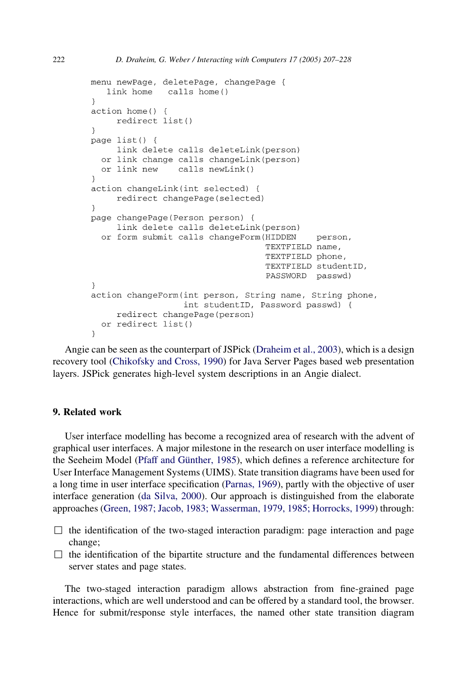```
menu newPage, deletePage, changePage {
   link home calls home()
\mathcal{E}action home() { }redirect list()
\mathcal{E}page list() {
     link delete calls deleteLink(person)
  or link change calls changeLink (person)
  or link new
               calls newLink()
þ
action changeLink(int selected) {
     redirect changePage(selected)
\mathcal{E}page changePage(Person person) {
     link delete calls deleteLink (person)
  or form submit calls changeForm (HIDDEN
                                                person,
                                     TEXTFIELD name,
                                     TEXTFIELD phone,
                                     TEXTFIELD studentID,
                                     PASSWORD passwd)
\mathcal{E}action changeForm(int person, String name, String phone,
                   int studentID, Password passwd) {
     redirect changePage(person)
  or redirect list()
\overline{\ }
```
Angie can be seen as the counterpart of JSPick [\(Draheim et al., 2003](#page-20-0)), which is a design recovery tool ([Chikofsky and Cross, 1990](#page-20-0)) for Java Server Pages based web presentation layers. JSPick generates high-level system descriptions in an Angie dialect.

# 9. Related work

User interface modelling has become a recognized area of research with the advent of graphical user interfaces. A major milestone in the research on user interface modelling is the Seeheim Model (Pfaff and Günther, 1985), which defines a reference architecture for User Interface Management Systems (UIMS). State transition diagrams have been used for a long time in user interface specification [\(Parnas, 1969](#page-21-0)), partly with the objective of user interface generation [\(da Silva, 2000\)](#page-20-0). Our approach is distinguished from the elaborate approaches ([Green, 1987; Jacob, 1983; Wasserman, 1979, 1985; Horrocks, 1999\)](#page-20-0) through:

- $\Box$  the identification of the two-staged interaction paradigm: page interaction and page change;
- $\Box$  the identification of the bipartite structure and the fundamental differences between server states and page states.

The two-staged interaction paradigm allows abstraction from fine-grained page interactions, which are well understood and can be offered by a standard tool, the browser. Hence for submit/response style interfaces, the named other state transition diagram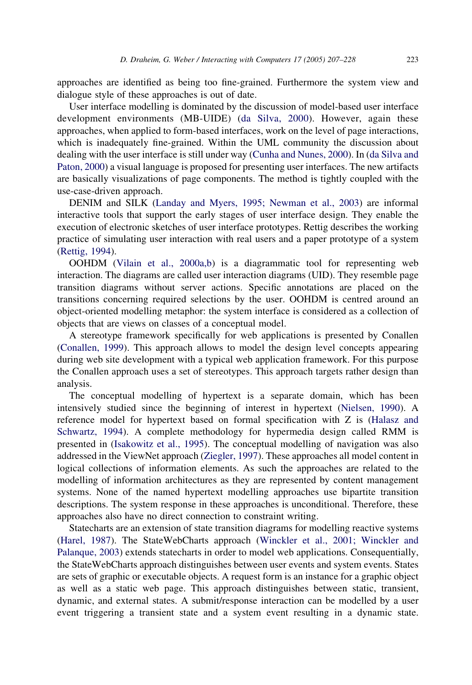approaches are identified as being too fine-grained. Furthermore the system view and dialogue style of these approaches is out of date.

User interface modelling is dominated by the discussion of model-based user interface development environments (MB-UIDE) [\(da Silva, 2000](#page-20-0)). However, again these approaches, when applied to form-based interfaces, work on the level of page interactions, which is inadequately fine-grained. Within the UML community the discussion about dealing with the user interface is still under way ([Cunha and Nunes, 2000](#page-20-0)). In ([da Silva and](#page-20-0) [Paton, 2000\)](#page-20-0) a visual language is proposed for presenting user interfaces. The new artifacts are basically visualizations of page components. The method is tightly coupled with the use-case-driven approach.

DENIM and SILK ([Landay and Myers, 1995; Newman et al., 2003](#page-21-0)) are informal interactive tools that support the early stages of user interface design. They enable the execution of electronic sketches of user interface prototypes. Rettig describes the working practice of simulating user interaction with real users and a paper prototype of a system [\(Rettig, 1994\)](#page-21-0).

OOHDM ([Vilain et al., 2000a,b](#page-21-0)) is a diagrammatic tool for representing web interaction. The diagrams are called user interaction diagrams (UID). They resemble page transition diagrams without server actions. Specific annotations are placed on the transitions concerning required selections by the user. OOHDM is centred around an object-oriented modelling metaphor: the system interface is considered as a collection of objects that are views on classes of a conceptual model.

A stereotype framework specifically for web applications is presented by Conallen [\(Conallen, 1999\)](#page-20-0). This approach allows to model the design level concepts appearing during web site development with a typical web application framework. For this purpose the Conallen approach uses a set of stereotypes. This approach targets rather design than analysis.

The conceptual modelling of hypertext is a separate domain, which has been intensively studied since the beginning of interest in hypertext [\(Nielsen, 1990\)](#page-21-0). A reference model for hypertext based on formal specification with Z is ([Halasz and](#page-20-0) [Schwartz, 1994](#page-20-0)). A complete methodology for hypermedia design called RMM is presented in [\(Isakowitz et al., 1995\)](#page-20-0). The conceptual modelling of navigation was also addressed in the ViewNet approach [\(Ziegler, 1997\)](#page-21-0). These approaches all model content in logical collections of information elements. As such the approaches are related to the modelling of information architectures as they are represented by content management systems. None of the named hypertext modelling approaches use bipartite transition descriptions. The system response in these approaches is unconditional. Therefore, these approaches also have no direct connection to constraint writing.

Statecharts are an extension of state transition diagrams for modelling reactive systems [\(Harel, 1987\)](#page-20-0). The StateWebCharts approach ([Winckler et al., 2001; Winckler and](#page-21-0) [Palanque, 2003](#page-21-0)) extends statecharts in order to model web applications. Consequentially, the StateWebCharts approach distinguishes between user events and system events. States are sets of graphic or executable objects. A request form is an instance for a graphic object as well as a static web page. This approach distinguishes between static, transient, dynamic, and external states. A submit/response interaction can be modelled by a user event triggering a transient state and a system event resulting in a dynamic state.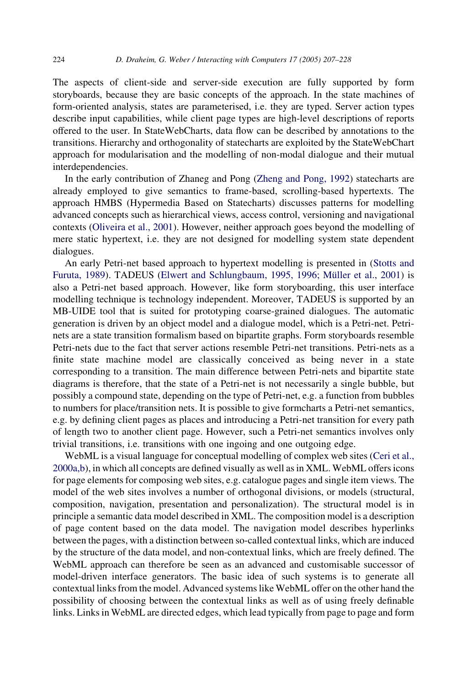The aspects of client-side and server-side execution are fully supported by form storyboards, because they are basic concepts of the approach. In the state machines of form-oriented analysis, states are parameterised, i.e. they are typed. Server action types describe input capabilities, while client page types are high-level descriptions of reports offered to the user. In StateWebCharts, data flow can be described by annotations to the transitions. Hierarchy and orthogonality of statecharts are exploited by the StateWebChart approach for modularisation and the modelling of non-modal dialogue and their mutual interdependencies.

In the early contribution of Zhaneg and Pong ([Zheng and Pong, 1992](#page-21-0)) statecharts are already employed to give semantics to frame-based, scrolling-based hypertexts. The approach HMBS (Hypermedia Based on Statecharts) discusses patterns for modelling advanced concepts such as hierarchical views, access control, versioning and navigational contexts ([Oliveira et al., 2001\)](#page-21-0). However, neither approach goes beyond the modelling of mere static hypertext, i.e. they are not designed for modelling system state dependent dialogues.

An early Petri-net based approach to hypertext modelling is presented in [\(Stotts and](#page-21-0) [Furuta, 1989](#page-21-0)). TADEUS (Elwert and Schlungbaum, 1995, 1996; Müller et al., 2001) is also a Petri-net based approach. However, like form storyboarding, this user interface modelling technique is technology independent. Moreover, TADEUS is supported by an MB-UIDE tool that is suited for prototyping coarse-grained dialogues. The automatic generation is driven by an object model and a dialogue model, which is a Petri-net. Petrinets are a state transition formalism based on bipartite graphs. Form storyboards resemble Petri-nets due to the fact that server actions resemble Petri-net transitions. Petri-nets as a finite state machine model are classically conceived as being never in a state corresponding to a transition. The main difference between Petri-nets and bipartite state diagrams is therefore, that the state of a Petri-net is not necessarily a single bubble, but possibly a compound state, depending on the type of Petri-net, e.g. a function from bubbles to numbers for place/transition nets. It is possible to give formcharts a Petri-net semantics, e.g. by defining client pages as places and introducing a Petri-net transition for every path of length two to another client page. However, such a Petri-net semantics involves only trivial transitions, i.e. transitions with one ingoing and one outgoing edge.

WebML is a visual language for conceptual modelling of complex web sites [\(Ceri et al.,](#page-19-0) [2000a,b](#page-19-0)), in which all concepts are defined visually as well as in XML. WebML offers icons for page elements for composing web sites, e.g. catalogue pages and single item views. The model of the web sites involves a number of orthogonal divisions, or models (structural, composition, navigation, presentation and personalization). The structural model is in principle a semantic data model described in XML. The composition model is a description of page content based on the data model. The navigation model describes hyperlinks between the pages, with a distinction between so-called contextual links, which are induced by the structure of the data model, and non-contextual links, which are freely defined. The WebML approach can therefore be seen as an advanced and customisable successor of model-driven interface generators. The basic idea of such systems is to generate all contextual links from the model. Advanced systems like WebML offer on the other hand the possibility of choosing between the contextual links as well as of using freely definable links. Links in WebML are directed edges, which lead typically from page to page and form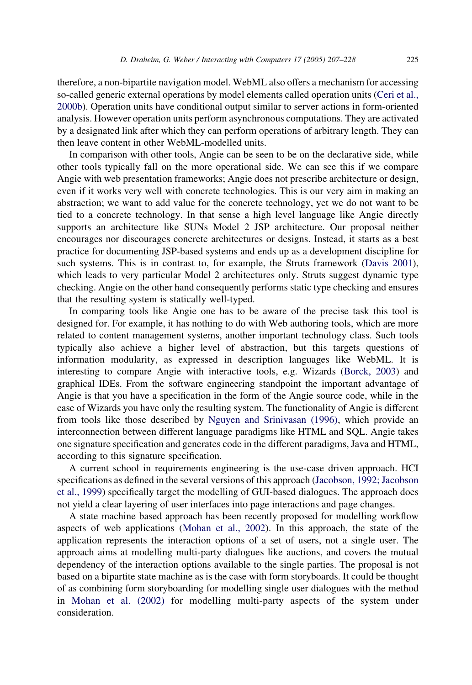therefore, a non-bipartite navigation model. WebML also offers a mechanism for accessing so-called generic external operations by model elements called operation units [\(Ceri et al.,](#page-20-0) [2000b\)](#page-20-0). Operation units have conditional output similar to server actions in form-oriented analysis. However operation units perform asynchronous computations. They are activated by a designated link after which they can perform operations of arbitrary length. They can then leave content in other WebML-modelled units.

In comparison with other tools, Angie can be seen to be on the declarative side, while other tools typically fall on the more operational side. We can see this if we compare Angie with web presentation frameworks; Angie does not prescribe architecture or design, even if it works very well with concrete technologies. This is our very aim in making an abstraction; we want to add value for the concrete technology, yet we do not want to be tied to a concrete technology. In that sense a high level language like Angie directly supports an architecture like SUNs Model 2 JSP architecture. Our proposal neither encourages nor discourages concrete architectures or designs. Instead, it starts as a best practice for documenting JSP-based systems and ends up as a development discipline for such systems. This is in contrast to, for example, the Struts framework [\(Davis 2001\)](#page-20-0), which leads to very particular Model 2 architectures only. Struts suggest dynamic type checking. Angie on the other hand consequently performs static type checking and ensures that the resulting system is statically well-typed.

In comparing tools like Angie one has to be aware of the precise task this tool is designed for. For example, it has nothing to do with Web authoring tools, which are more related to content management systems, another important technology class. Such tools typically also achieve a higher level of abstraction, but this targets questions of information modularity, as expressed in description languages like WebML. It is interesting to compare Angie with interactive tools, e.g. Wizards [\(Borck, 2003\)](#page-19-0) and graphical IDEs. From the software engineering standpoint the important advantage of Angie is that you have a specification in the form of the Angie source code, while in the case of Wizards you have only the resulting system. The functionality of Angie is different from tools like those described by [Nguyen and Srinivasan \(1996\)](#page-21-0), which provide an interconnection between different language paradigms like HTML and SQL. Angie takes one signature specification and generates code in the different paradigms, Java and HTML, according to this signature specification.

A current school in requirements engineering is the use-case driven approach. HCI specifications as defined in the several versions of this approach ([Jacobson, 1992; Jacobson](#page-20-0) [et al., 1999](#page-20-0)) specifically target the modelling of GUI-based dialogues. The approach does not yield a clear layering of user interfaces into page interactions and page changes.

A state machine based approach has been recently proposed for modelling workflow aspects of web applications [\(Mohan et al., 2002](#page-21-0)). In this approach, the state of the application represents the interaction options of a set of users, not a single user. The approach aims at modelling multi-party dialogues like auctions, and covers the mutual dependency of the interaction options available to the single parties. The proposal is not based on a bipartite state machine as is the case with form storyboards. It could be thought of as combining form storyboarding for modelling single user dialogues with the method in [Mohan et al. \(2002\)](#page-21-0) for modelling multi-party aspects of the system under consideration.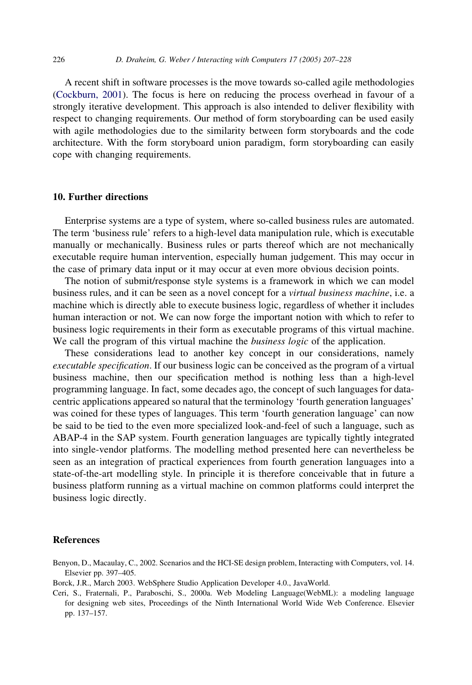<span id="page-19-0"></span>A recent shift in software processes is the move towards so-called agile methodologies ([Cockburn, 2001\)](#page-20-0). The focus is here on reducing the process overhead in favour of a strongly iterative development. This approach is also intended to deliver flexibility with respect to changing requirements. Our method of form storyboarding can be used easily with agile methodologies due to the similarity between form storyboards and the code architecture. With the form storyboard union paradigm, form storyboarding can easily cope with changing requirements.

# 10. Further directions

Enterprise systems are a type of system, where so-called business rules are automated. The term 'business rule' refers to a high-level data manipulation rule, which is executable manually or mechanically. Business rules or parts thereof which are not mechanically executable require human intervention, especially human judgement. This may occur in the case of primary data input or it may occur at even more obvious decision points.

The notion of submit/response style systems is a framework in which we can model business rules, and it can be seen as a novel concept for a virtual business machine, i.e. a machine which is directly able to execute business logic, regardless of whether it includes human interaction or not. We can now forge the important notion with which to refer to business logic requirements in their form as executable programs of this virtual machine. We call the program of this virtual machine the *business logic* of the application.

These considerations lead to another key concept in our considerations, namely executable specification. If our business logic can be conceived as the program of a virtual business machine, then our specification method is nothing less than a high-level programming language. In fact, some decades ago, the concept of such languages for datacentric applications appeared so natural that the terminology 'fourth generation languages' was coined for these types of languages. This term 'fourth generation language' can now be said to be tied to the even more specialized look-and-feel of such a language, such as ABAP-4 in the SAP system. Fourth generation languages are typically tightly integrated into single-vendor platforms. The modelling method presented here can nevertheless be seen as an integration of practical experiences from fourth generation languages into a state-of-the-art modelling style. In principle it is therefore conceivable that in future a business platform running as a virtual machine on common platforms could interpret the business logic directly.

### References

- Benyon, D., Macaulay, C., 2002. Scenarios and the HCI-SE design problem, Interacting with Computers, vol. 14. Elsevier pp. 397–405.
- Borck, J.R., March 2003. WebSphere Studio Application Developer 4.0., JavaWorld.

Ceri, S., Fraternali, P., Paraboschi, S., 2000a. Web Modeling Language(WebML): a modeling language for designing web sites, Proceedings of the Ninth International World Wide Web Conference. Elsevier pp. 137–157.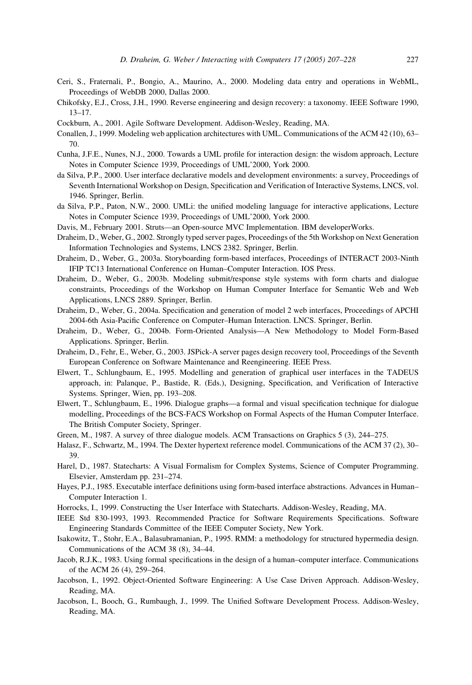- <span id="page-20-0"></span>Ceri, S., Fraternali, P., Bongio, A., Maurino, A., 2000. Modeling data entry and operations in WebML, Proceedings of WebDB 2000, Dallas 2000.
- Chikofsky, E.J., Cross, J.H., 1990. Reverse engineering and design recovery: a taxonomy. IEEE Software 1990, 13–17.
- Cockburn, A., 2001. Agile Software Development. Addison-Wesley, Reading, MA.
- Conallen, J., 1999. Modeling web application architectures with UML. Communications of the ACM 42 (10), 63– 70.
- Cunha, J.F.E., Nunes, N.J., 2000. Towards a UML profile for interaction design: the wisdom approach, Lecture Notes in Computer Science 1939, Proceedings of UML'2000, York 2000.
- da Silva, P.P., 2000. User interface declarative models and development environments: a survey, Proceedings of Seventh International Workshop on Design, Specification and Verification of Interactive Systems, LNCS, vol. 1946. Springer, Berlin.
- da Silva, P.P., Paton, N.W., 2000. UMLi: the unified modeling language for interactive applications, Lecture Notes in Computer Science 1939, Proceedings of UML'2000, York 2000.
- Davis, M., February 2001. Struts—an Open-source MVC Implementation. IBM developerWorks.
- Draheim, D., Weber, G., 2002. Strongly typed server pages, Proceedings of the 5th Workshop on Next Generation Information Technologies and Systems, LNCS 2382. Springer, Berlin.
- Draheim, D., Weber, G., 2003a. Storyboarding form-based interfaces, Proceedings of INTERACT 2003-Ninth IFIP TC13 International Conference on Human–Computer Interaction. IOS Press.
- Draheim, D., Weber, G., 2003b. Modeling submit/response style systems with form charts and dialogue constraints, Proceedings of the Workshop on Human Computer Interface for Semantic Web and Web Applications, LNCS 2889. Springer, Berlin.
- Draheim, D., Weber, G., 2004a. Specification and generation of model 2 web interfaces, Proceedings of APCHI 2004-6th Asia-Pacific Conference on Computer–Human Interaction. LNCS. Springer, Berlin.
- Draheim, D., Weber, G., 2004b. Form-Oriented Analysis—A New Methodology to Model Form-Based Applications. Springer, Berlin.
- Draheim, D., Fehr, E., Weber, G., 2003. JSPick-A server pages design recovery tool, Proceedings of the Seventh European Conference on Software Maintenance and Reengineering. IEEE Press.
- Elwert, T., Schlungbaum, E., 1995. Modelling and generation of graphical user interfaces in the TADEUS approach, in: Palanque, P., Bastide, R. (Eds.), Designing, Specification, and Verification of Interactive Systems. Springer, Wien, pp. 193–208.
- Elwert, T., Schlungbaum, E., 1996. Dialogue graphs—a formal and visual specification technique for dialogue modelling, Proceedings of the BCS-FACS Workshop on Formal Aspects of the Human Computer Interface. The British Computer Society, Springer.
- Green, M., 1987. A survey of three dialogue models. ACM Transactions on Graphics 5 (3), 244–275.
- Halasz, F., Schwartz, M., 1994. The Dexter hypertext reference model. Communications of the ACM 37 (2), 30– 39.
- Harel, D., 1987. Statecharts: A Visual Formalism for Complex Systems, Science of Computer Programming. Elsevier, Amsterdam pp. 231–274.
- Hayes, P.J., 1985. Executable interface definitions using form-based interface abstractions. Advances in Human– Computer Interaction 1.
- Horrocks, I., 1999. Constructing the User Interface with Statecharts. Addison-Wesley, Reading, MA.
- IEEE Std 830-1993, 1993. Recommended Practice for Software Requirements Specifications. Software Engineering Standards Committee of the IEEE Computer Society, New York.
- Isakowitz, T., Stohr, E.A., Balasubramanian, P., 1995. RMM: a methodology for structured hypermedia design. Communications of the ACM 38 (8), 34–44.
- Jacob, R.J.K., 1983. Using formal specifications in the design of a human–computer interface. Communications of the ACM 26 (4), 259–264.
- Jacobson, I., 1992. Object-Oriented Software Engineering: A Use Case Driven Approach. Addison-Wesley, Reading, MA.
- Jacobson, I., Booch, G., Rumbaugh, J., 1999. The Unified Software Development Process. Addison-Wesley, Reading, MA.